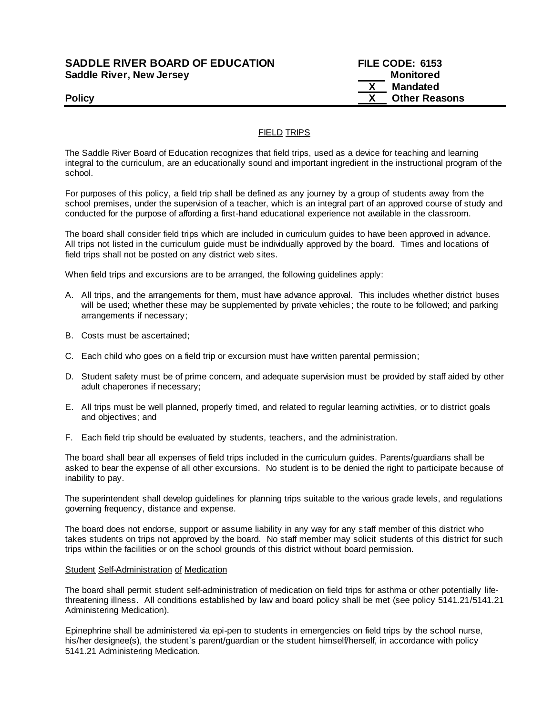## **SADDLE RIVER BOARD OF EDUCATION FILE CODE: 6153 Saddle River, New Jersey Monitored Example 2018 19 No. 2018 19:30 Monitored**

# **X Mandated Policy CONSERVANTS Policy CONSERVANTS CONSERVANTS CONSERVANTS CONSERVANTS CONSERVANTS CONSERVANTS**

## FIELD TRIPS

The Saddle River Board of Education recognizes that field trips, used as a device for teaching and learning integral to the curriculum, are an educationally sound and important ingredient in the instructional program of the school.

For purposes of this policy, a field trip shall be defined as any journey by a group of students away from the school premises, under the supervision of a teacher, which is an integral part of an approved course of study and conducted for the purpose of affording a first-hand educational experience not available in the classroom.

The board shall consider field trips which are included in curriculum guides to have been approved in advance. All trips not listed in the curriculum guide must be individually approved by the board. Times and locations of field trips shall not be posted on any district web sites.

When field trips and excursions are to be arranged, the following guidelines apply:

- A. All trips, and the arrangements for them, must have advance approval. This includes whether district buses will be used; whether these may be supplemented by private vehicles; the route to be followed; and parking arrangements if necessary;
- B. Costs must be ascertained;
- C. Each child who goes on a field trip or excursion must have written parental permission;
- D. Student safety must be of prime concern, and adequate supervision must be provided by staff aided by other adult chaperones if necessary;
- E. All trips must be well planned, properly timed, and related to regular learning activities, or to district goals and objectives; and
- F. Each field trip should be evaluated by students, teachers, and the administration.

The board shall bear all expenses of field trips included in the curriculum guides. Parents/guardians shall be asked to bear the expense of all other excursions. No student is to be denied the right to participate because of inability to pay.

The superintendent shall develop guidelines for planning trips suitable to the various grade levels, and regulations governing frequency, distance and expense.

The board does not endorse, support or assume liability in any way for any s taff member of this district who takes students on trips not approved by the board. No staff member may solicit students of this district for such trips within the facilities or on the school grounds of this district without board permission.

### Student Self-Administration of Medication

The board shall permit student self-administration of medication on field trips for asthma or other potentially lifethreatening illness. All conditions established by law and board policy shall be met (see policy 5141.21/5141.21 Administering Medication).

Epinephrine shall be administered via epi-pen to students in emergencies on field trips by the school nurse, his/her designee(s), the student's parent/guardian or the student himself/herself, in accordance with policy 5141.21 Administering Medication.